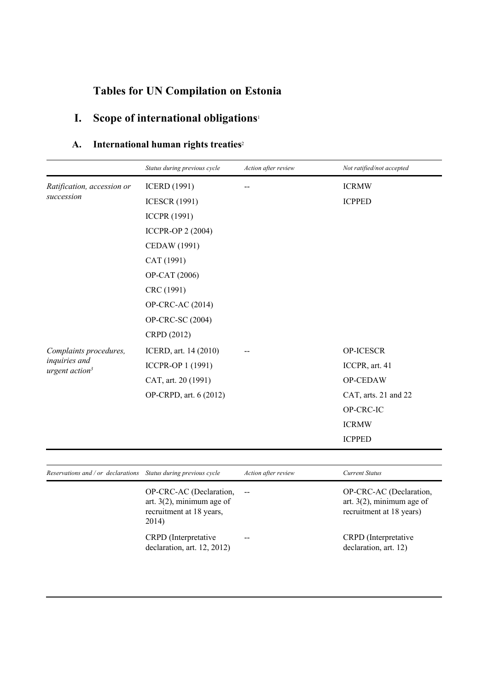# **Tables for UN Compilation on Estonia**

# **I. Scope of international obligations**<sup>1</sup>

### **A. International human rights treaties**<sup>2</sup>

|                                                                  | Status during previous cycle                                                                 | Action after review | Not ratified/not accepted                                                           |
|------------------------------------------------------------------|----------------------------------------------------------------------------------------------|---------------------|-------------------------------------------------------------------------------------|
| Ratification, accession or                                       | <b>ICERD</b> (1991)                                                                          |                     | <b>ICRMW</b>                                                                        |
| succession                                                       | <b>ICESCR (1991)</b>                                                                         |                     | <b>ICPPED</b>                                                                       |
|                                                                  | <b>ICCPR (1991)</b>                                                                          |                     |                                                                                     |
|                                                                  | <b>ICCPR-OP 2 (2004)</b>                                                                     |                     |                                                                                     |
|                                                                  | CEDAW (1991)                                                                                 |                     |                                                                                     |
|                                                                  | CAT (1991)                                                                                   |                     |                                                                                     |
|                                                                  | OP-CAT (2006)                                                                                |                     |                                                                                     |
|                                                                  | CRC (1991)                                                                                   |                     |                                                                                     |
|                                                                  | OP-CRC-AC (2014)                                                                             |                     |                                                                                     |
|                                                                  | OP-CRC-SC (2004)                                                                             |                     |                                                                                     |
|                                                                  | CRPD (2012)                                                                                  |                     |                                                                                     |
| Complaints procedures,                                           | ICERD, art. 14 (2010)                                                                        |                     | OP-ICESCR                                                                           |
| inquiries and<br>urgent action <sup>3</sup>                      | ICCPR-OP 1 (1991)                                                                            |                     | ICCPR, art. 41                                                                      |
|                                                                  | CAT, art. 20 (1991)                                                                          |                     | OP-CEDAW                                                                            |
|                                                                  | OP-CRPD, art. 6 (2012)                                                                       |                     | CAT, arts. 21 and 22                                                                |
|                                                                  |                                                                                              |                     | OP-CRC-IC                                                                           |
|                                                                  |                                                                                              |                     | <b>ICRMW</b>                                                                        |
|                                                                  |                                                                                              |                     | <b>ICPPED</b>                                                                       |
|                                                                  |                                                                                              |                     |                                                                                     |
| Reservations and / or declarations  Status during previous cycle |                                                                                              | Action after review | <b>Current Status</b>                                                               |
|                                                                  | OP-CRC-AC (Declaration,<br>art. $3(2)$ , minimum age of<br>recruitment at 18 years,<br>2014) |                     | OP-CRC-AC (Declaration,<br>art. $3(2)$ , minimum age of<br>recruitment at 18 years) |
|                                                                  | CRPD (Interpretative<br>declaration, art. 12, 2012)                                          |                     | CRPD (Interpretative<br>declaration, art. 12)                                       |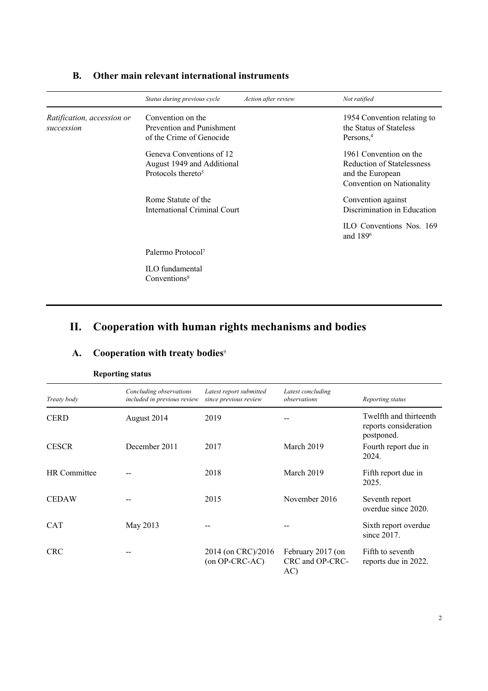|                                          | Status during previous cycle                                                             | Action after review | Not ratified                                                                                          |
|------------------------------------------|------------------------------------------------------------------------------------------|---------------------|-------------------------------------------------------------------------------------------------------|
| Ratification, accession or<br>succession | Convention on the<br>Prevention and Punishment<br>of the Crime of Genocide               |                     | 1954 Convention relating to<br>the Status of Stateless<br>Persons. <sup>4</sup>                       |
|                                          | Geneva Conventions of 12<br>August 1949 and Additional<br>Protocols thereto <sup>5</sup> |                     | 1961 Convention on the<br>Reduction of Statelessness<br>and the European<br>Convention on Nationality |
|                                          | Rome Statute of the<br>International Criminal Court                                      |                     | Convention against<br>Discrimination in Education                                                     |
|                                          |                                                                                          |                     | ILO Conventions Nos. 169<br>and 189 <sup>6</sup>                                                      |
|                                          | Palermo Protocol <sup>7</sup>                                                            |                     |                                                                                                       |
|                                          | ILO fundamental<br>Conventions <sup>8</sup>                                              |                     |                                                                                                       |

#### **B. Other main relevant international instruments**

### **II. Cooperation with human rights mechanisms and bodies**

| Treaty body         | Concluding observations<br>included in previous review | Latest report submitted<br>since previous review | Latest concluding<br>observations           | Reporting status                                              |
|---------------------|--------------------------------------------------------|--------------------------------------------------|---------------------------------------------|---------------------------------------------------------------|
| <b>CERD</b>         | August 2014                                            | 2019                                             |                                             | Twelfth and thirteenth<br>reports consideration<br>postponed. |
| <b>CESCR</b>        | December 2011                                          | 2017                                             | March 2019                                  | Fourth report due in<br>2024.                                 |
| <b>HR</b> Committee |                                                        | 2018                                             | March 2019                                  | Fifth report due in<br>2025.                                  |
| <b>CEDAW</b>        |                                                        | 2015                                             | November 2016                               | Seventh report<br>overdue since 2020.                         |
| <b>CAT</b>          | May 2013                                               |                                                  |                                             | Sixth report overdue<br>since $2017$ .                        |
| <b>CRC</b>          |                                                        | 2014 (on CRC)/2016<br>(on OP-CRC-AC)             | February 2017 (on<br>CRC and OP-CRC-<br>AC) | Fifth to seventh<br>reports due in 2022.                      |

### **A. Cooperation with treaty bodies**<sup>9</sup>

#### **Reporting status**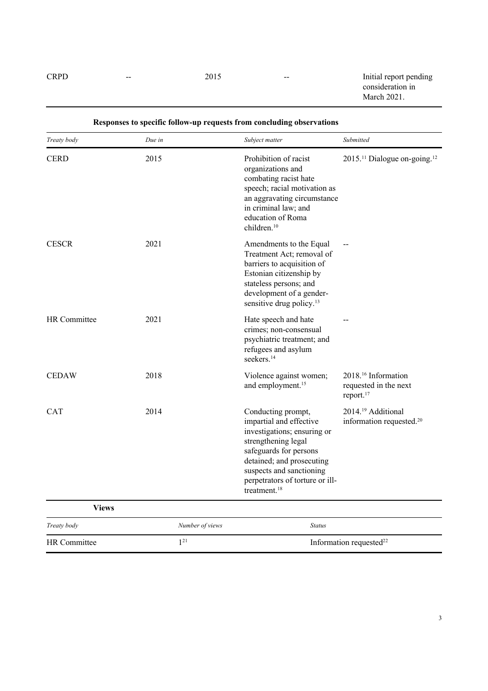CRPD -- 2015 -- 2015 -- Initial report pending consideration in March 2021.

| Treaty body         | Due in          | Subject matter                                                                                                                                                                                                                                        | Submitted                                                                         |
|---------------------|-----------------|-------------------------------------------------------------------------------------------------------------------------------------------------------------------------------------------------------------------------------------------------------|-----------------------------------------------------------------------------------|
| <b>CERD</b>         | 2015            | Prohibition of racist<br>organizations and<br>combating racist hate<br>speech; racial motivation as<br>an aggravating circumstance<br>in criminal law; and<br>education of Roma<br>children. <sup>10</sup>                                            | 2015. <sup>11</sup> Dialogue on-going. <sup>12</sup>                              |
| <b>CESCR</b>        | 2021            | Amendments to the Equal<br>Treatment Act: removal of<br>barriers to acquisition of<br>Estonian citizenship by<br>stateless persons; and<br>development of a gender-<br>sensitive drug policy. <sup>13</sup>                                           |                                                                                   |
| <b>HR</b> Committee | 2021            | Hate speech and hate<br>crimes; non-consensual<br>psychiatric treatment; and<br>refugees and asylum<br>seekers. <sup>14</sup>                                                                                                                         |                                                                                   |
| <b>CEDAW</b>        | 2018            | Violence against women;<br>and employment. <sup>15</sup>                                                                                                                                                                                              | 2018. <sup>16</sup> Information<br>requested in the next<br>report. <sup>17</sup> |
| <b>CAT</b>          | 2014            | Conducting prompt,<br>impartial and effective<br>investigations; ensuring or<br>strengthening legal<br>safeguards for persons<br>detained; and prosecuting<br>suspects and sanctioning<br>perpetrators of torture or ill-<br>treatment. <sup>18</sup> | 2014. <sup>19</sup> Additional<br>information requested. <sup>20</sup>            |
| <b>Views</b>        |                 |                                                                                                                                                                                                                                                       |                                                                                   |
| Treaty body         | Number of views | <b>Status</b>                                                                                                                                                                                                                                         |                                                                                   |
| <b>HR</b> Committee | $1^{21}$        |                                                                                                                                                                                                                                                       | Information requested <sup>22</sup>                                               |

#### **Responses to specific follow-up requests from concluding observations**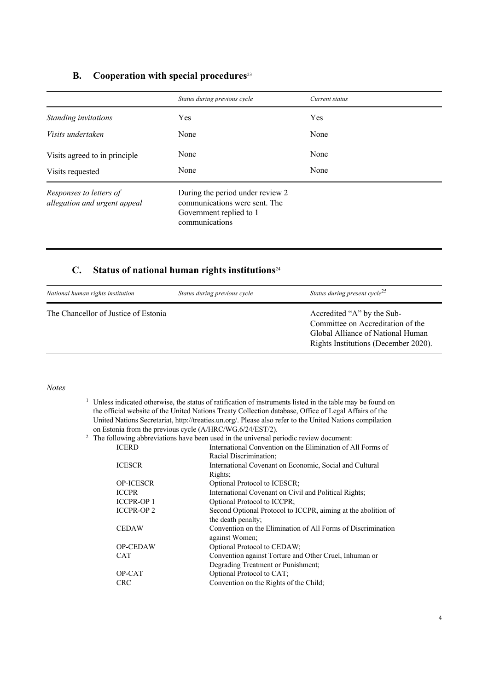#### **B. Cooperation with special procedures**<sup>23</sup>

|                                                         | Status during previous cycle                                                                                   | Current status |
|---------------------------------------------------------|----------------------------------------------------------------------------------------------------------------|----------------|
| Standing invitations                                    | Yes                                                                                                            | Yes            |
| Visits undertaken                                       | None                                                                                                           | None           |
| Visits agreed to in principle                           | None                                                                                                           | None           |
| Visits requested                                        | None                                                                                                           | None           |
| Responses to letters of<br>allegation and urgent appeal | During the period under review 2<br>communications were sent. The<br>Government replied to 1<br>communications |                |

### **C. Status of national human rights institutions**<sup>24</sup>

| National human rights institution    | Status during previous cycle | Status during present cycle <sup>25</sup>                                                                                                    |
|--------------------------------------|------------------------------|----------------------------------------------------------------------------------------------------------------------------------------------|
| The Chancellor of Justice of Estonia |                              | Accredited "A" by the Sub-<br>Committee on Accreditation of the<br>Global Alliance of National Human<br>Rights Institutions (December 2020). |

#### *Notes*

<sup>1</sup> Unless indicated otherwise, the status of ratification of instruments listed in the table may be found on the official website of the United Nations Treaty Collection database, Office of Legal Affairs of the United Nations Secretariat, http://treaties.un.org/. Please also refer to the United Nations compilation on Estonia from the previous cycle (A/HRC/WG.6/24/EST/2).

| $2\degree$ The following abbreviations have been used in the universal periodic review document: |  |  |   |  |  |  |  |
|--------------------------------------------------------------------------------------------------|--|--|---|--|--|--|--|
|                                                                                                  |  |  | . |  |  |  |  |

| <b>ICERD</b>     | International Convention on the Elimination of All Forms of   |
|------------------|---------------------------------------------------------------|
|                  | Racial Discrimination;                                        |
| <b>ICESCR</b>    | International Covenant on Economic, Social and Cultural       |
|                  | Rights;                                                       |
| <b>OP-ICESCR</b> | Optional Protocol to ICESCR;                                  |
| <b>ICCPR</b>     | International Covenant on Civil and Political Rights;         |
| <b>ICCPR-OP1</b> | Optional Protocol to ICCPR;                                   |
| <b>ICCPR-OP2</b> | Second Optional Protocol to ICCPR, aiming at the abolition of |
|                  | the death penalty;                                            |
| <b>CEDAW</b>     | Convention on the Elimination of All Forms of Discrimination  |
|                  | against Women;                                                |
| <b>OP-CEDAW</b>  | Optional Protocol to CEDAW;                                   |
| <b>CAT</b>       | Convention against Torture and Other Cruel, Inhuman or        |
|                  | Degrading Treatment or Punishment;                            |
| OP-CAT           | Optional Protocol to CAT;                                     |
| <b>CRC</b>       | Convention on the Rights of the Child;                        |
|                  |                                                               |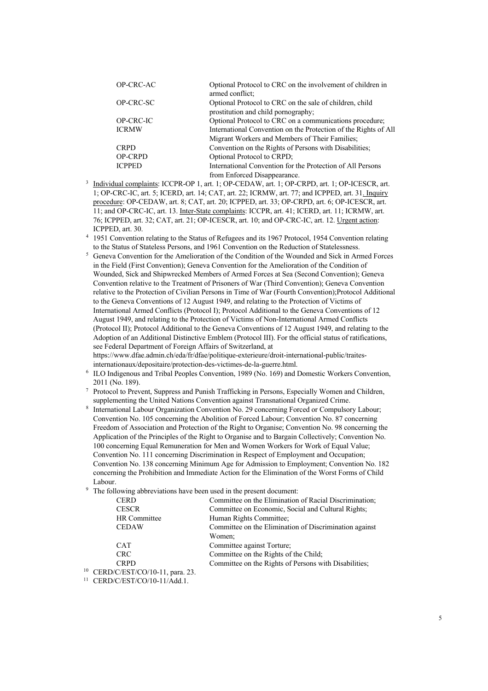| OP-CRC-AC      | Optional Protocol to CRC on the involvement of children in      |
|----------------|-----------------------------------------------------------------|
|                | armed conflict;                                                 |
| OP-CRC-SC      | Optional Protocol to CRC on the sale of children, child         |
|                | prostitution and child pornography;                             |
| OP-CRC-IC      | Optional Protocol to CRC on a communications procedure;         |
| <b>ICRMW</b>   | International Convention on the Protection of the Rights of All |
|                | Migrant Workers and Members of Their Families;                  |
| <b>CRPD</b>    | Convention on the Rights of Persons with Disabilities;          |
| <b>OP-CRPD</b> | Optional Protocol to CRPD;                                      |
| <b>ICPPED</b>  | International Convention for the Protection of All Persons      |
|                | from Enforced Disappearance.                                    |

- <sup>3</sup> Individual complaints: ICCPR-OP 1, art. 1; OP-CEDAW, art. 1; OP-CRPD, art. 1; OP-ICESCR, art. 1; OP-CRC-IC, art. 5; ICERD, art. 14; CAT, art. 22; ICRMW, art. 77; and ICPPED, art. 31. Inquiry procedure: OP-CEDAW, art. 8; CAT, art. 20; ICPPED, art. 33; OP-CRPD, art. 6; OP-ICESCR, art. 11; and OP-CRC-IC, art. 13. Inter-State complaints: ICCPR, art. 41; ICERD, art. 11; ICRMW, art. 76; ICPPED, art. 32; CAT, art. 21; OP-ICESCR, art. 10; and OP-CRC-IC, art. 12. Urgent action: ICPPED, art. 30.
- <sup>4</sup> 1951 Convention relating to the Status of Refugees and its 1967 Protocol, 1954 Convention relating to the Status of Stateless Persons, and 1961 Convention on the Reduction of Statelessness.
- <sup>5</sup> Geneva Convention for the Amelioration of the Condition of the Wounded and Sick in Armed Forces in the Field (First Convention); Geneva Convention for the Amelioration of the Condition of Wounded, Sick and Shipwrecked Members of Armed Forces at Sea (Second Convention); Geneva Convention relative to the Treatment of Prisoners of War (Third Convention); Geneva Convention relative to the Protection of Civilian Persons in Time of War (Fourth Convention);Protocol Additional to the Geneva Conventions of 12 August 1949, and relating to the Protection of Victims of International Armed Conflicts (Protocol I); Protocol Additional to the Geneva Conventions of 12 August 1949, and relating to the Protection of Victims of Non-International Armed Conflicts (Protocol II); Protocol Additional to the Geneva Conventions of 12 August 1949, and relating to the Adoption of an Additional Distinctive Emblem (Protocol III). For the official status of ratifications, see Federal Department of Foreign Affairs of Switzerland, at https://www.dfae.admin.ch/eda/fr/dfae/politique-exterieure/droit-international-public/traites-

internationaux/depositaire/protection-des-victimes-de-la-guerre.html.

- <sup>6</sup> ILO Indigenous and Tribal Peoples Convention, 1989 (No. 169) and Domestic Workers Convention, 2011 (No. 189).
- <sup>7</sup> Protocol to Prevent, Suppress and Punish Trafficking in Persons, Especially Women and Children, supplementing the United Nations Convention against Transnational Organized Crime.
- <sup>8</sup> International Labour Organization Convention No. 29 concerning Forced or Compulsory Labour; Convention No. 105 concerning the Abolition of Forced Labour; Convention No. 87 concerning Freedom of Association and Protection of the Right to Organise; Convention No. 98 concerning the Application of the Principles of the Right to Organise and to Bargain Collectively; Convention No. 100 concerning Equal Remuneration for Men and Women Workers for Work of Equal Value; Convention No. 111 concerning Discrimination in Respect of Employment and Occupation; Convention No. 138 concerning Minimum Age for Admission to Employment; Convention No. 182 concerning the Prohibition and Immediate Action for the Elimination of the Worst Forms of Child Labour.
- <sup>9</sup> The following abbreviations have been used in the present document:

| <b>CERD</b>                          | Committee on the Elimination of Racial Discrimination; |
|--------------------------------------|--------------------------------------------------------|
| <b>CESCR</b>                         | Committee on Economic, Social and Cultural Rights;     |
| HR Committee                         | Human Rights Committee;                                |
| <b>CEDAW</b>                         | Committee on the Elimination of Discrimination against |
|                                      | Women;                                                 |
| <b>CAT</b>                           | Committee against Torture;                             |
| <b>CRC</b>                           | Committee on the Rights of the Child;                  |
| <b>CRPD</b>                          | Committee on the Rights of Persons with Disabilities;  |
| 10<br>CERD/C/EST/CO/10-11, para. 23. |                                                        |

<sup>11</sup> CERD/C/EST/CO/10-11/Add.1.